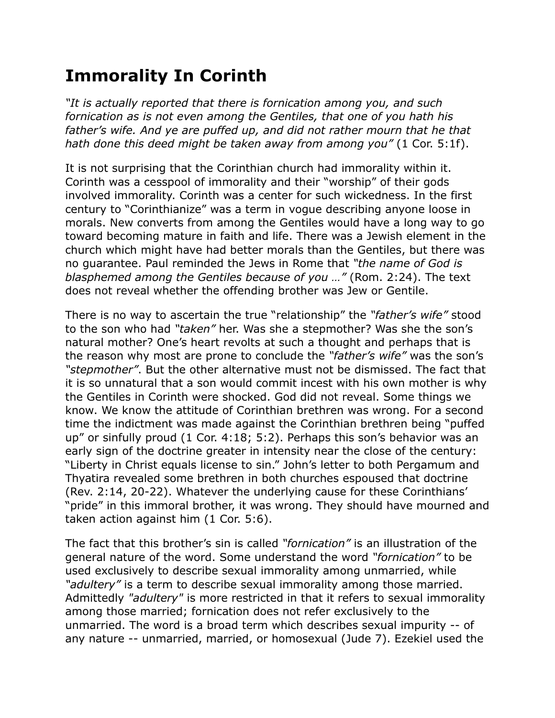## **Immorality In Corinth**

*"It is actually reported that there is fornication among you, and such fornication as is not even among the Gentiles, that one of you hath his*  father's wife. And ye are puffed up, and did not rather mourn that he that *hath done this deed might be taken away from among you"* (1 Cor. 5:1f).

It is not surprising that the Corinthian church had immorality within it. Corinth was a cesspool of immorality and their "worship" of their gods involved immorality. Corinth was a center for such wickedness. In the first century to "Corinthianize" was a term in vogue describing anyone loose in morals. New converts from among the Gentiles would have a long way to go toward becoming mature in faith and life. There was a Jewish element in the church which might have had better morals than the Gentiles, but there was no guarantee. Paul reminded the Jews in Rome that *"the name of God is blasphemed among the Gentiles because of you …"* (Rom. 2:24). The text does not reveal whether the offending brother was Jew or Gentile.

There is no way to ascertain the true "relationship" the *"father's wife"* stood to the son who had *"taken"* her. Was she a stepmother? Was she the son's natural mother? One's heart revolts at such a thought and perhaps that is the reason why most are prone to conclude the *"father's wife"* was the son's *"stepmother"*. But the other alternative must not be dismissed. The fact that it is so unnatural that a son would commit incest with his own mother is why the Gentiles in Corinth were shocked. God did not reveal. Some things we know. We know the attitude of Corinthian brethren was wrong. For a second time the indictment was made against the Corinthian brethren being "puffed up" or sinfully proud (1 Cor. 4:18; 5:2). Perhaps this son's behavior was an early sign of the doctrine greater in intensity near the close of the century: "Liberty in Christ equals license to sin." John's letter to both Pergamum and Thyatira revealed some brethren in both churches espoused that doctrine (Rev. 2:14, 20-22). Whatever the underlying cause for these Corinthians' "pride" in this immoral brother, it was wrong. They should have mourned and taken action against him (1 Cor. 5:6).

The fact that this brother's sin is called *"fornication"* is an illustration of the general nature of the word. Some understand the word *"fornication"* to be used exclusively to describe sexual immorality among unmarried, while *"adultery"* is a term to describe sexual immorality among those married. Admittedly *"adultery"* is more restricted in that it refers to sexual immorality among those married; fornication does not refer exclusively to the unmarried. The word is a broad term which describes sexual impurity -- of any nature -- unmarried, married, or homosexual (Jude 7). Ezekiel used the